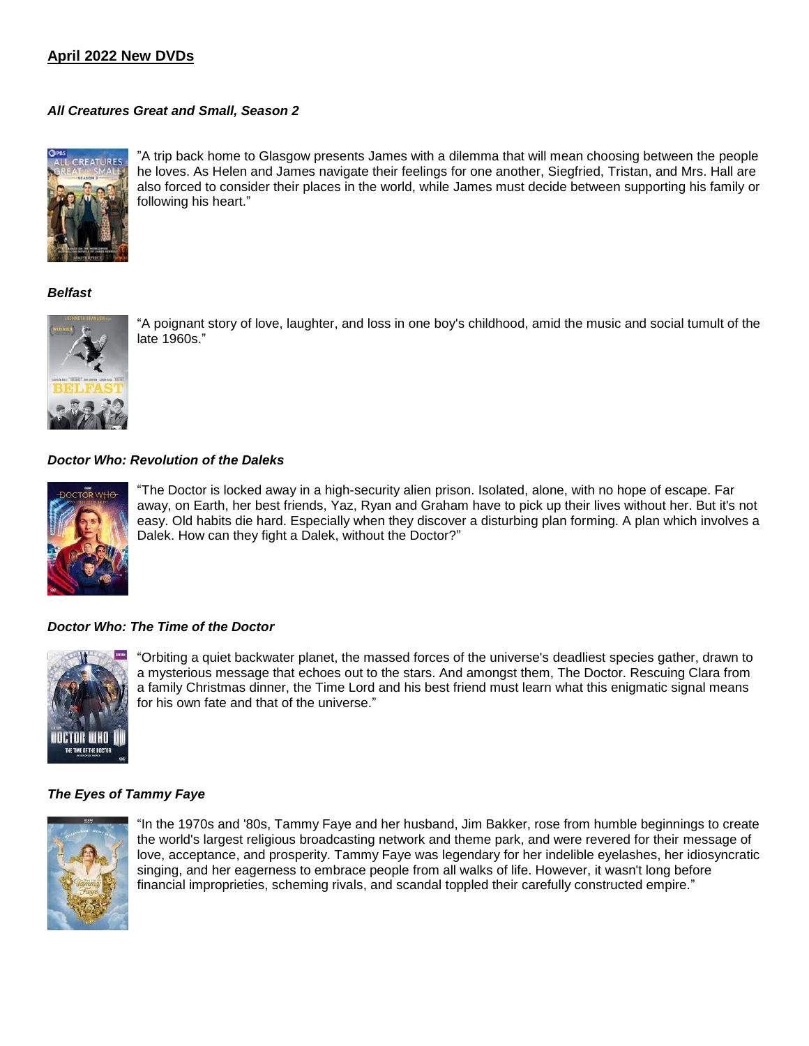# **April 2022 New DVDs**

# *All Creatures Great and Small, Season 2*



"A trip back home to Glasgow presents James with a dilemma that will mean choosing between the people he loves. As Helen and James navigate their feelings for one another, Siegfried, Tristan, and Mrs. Hall are also forced to consider their places in the world, while James must decide between supporting his family or following his heart."

# *Belfast*



"A poignant story of love, laughter, and loss in one boy's childhood, amid the music and social tumult of the late 1960s."

# *Doctor Who: Revolution of the Daleks*



"The Doctor is locked away in a high-security alien prison. Isolated, alone, with no hope of escape. Far away, on Earth, her best friends, Yaz, Ryan and Graham have to pick up their lives without her. But it's not easy. Old habits die hard. Especially when they discover a disturbing plan forming. A plan which involves a Dalek. How can they fight a Dalek, without the Doctor?"

# *Doctor Who: The Time of the Doctor*



"Orbiting a quiet backwater planet, the massed forces of the universe's deadliest species gather, drawn to a mysterious message that echoes out to the stars. And amongst them, The Doctor. Rescuing Clara from a family Christmas dinner, the Time Lord and his best friend must learn what this enigmatic signal means for his own fate and that of the universe."

## *The Eyes of Tammy Faye*



"In the 1970s and '80s, Tammy Faye and her husband, Jim Bakker, rose from humble beginnings to create the world's largest religious broadcasting network and theme park, and were revered for their message of love, acceptance, and prosperity. Tammy Faye was legendary for her indelible eyelashes, her idiosyncratic singing, and her eagerness to embrace people from all walks of life. However, it wasn't long before financial improprieties, scheming rivals, and scandal toppled their carefully constructed empire."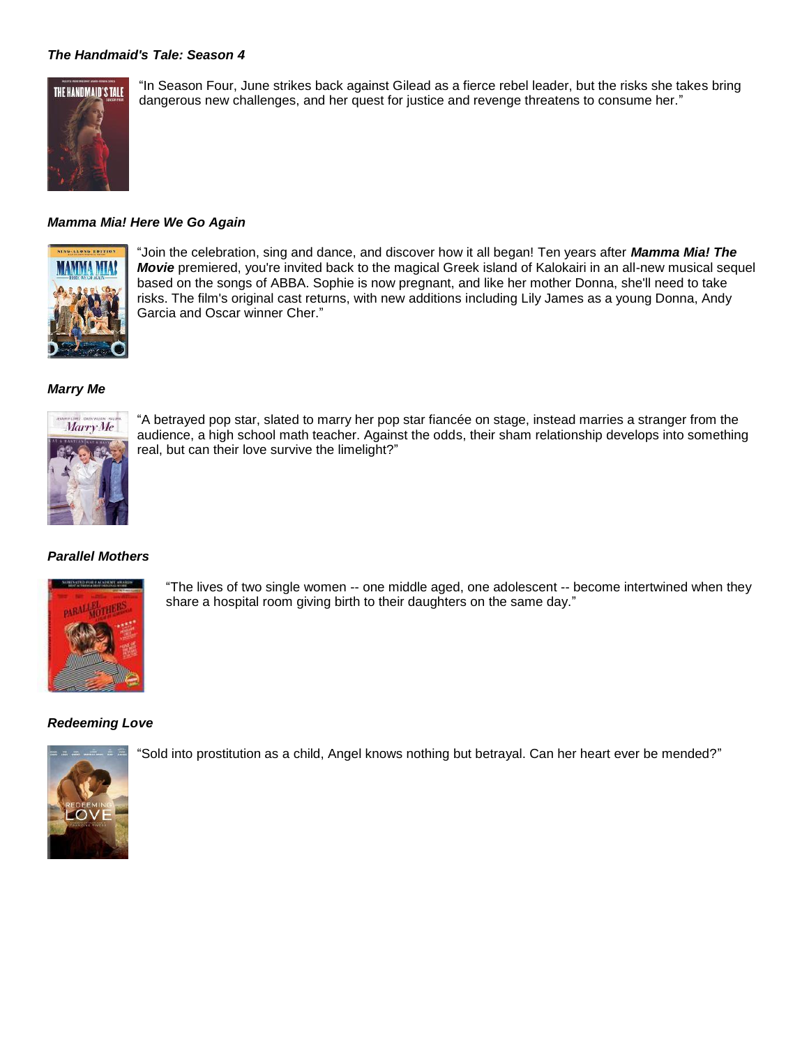# *The Handmaid's Tale: Season 4*



"In Season Four, June strikes back against Gilead as a fierce rebel leader, but the risks she takes bring dangerous new challenges, and her quest for justice and revenge threatens to consume her."

## *Mamma Mia! Here We Go Again*



"Join the celebration, sing and dance, and discover how it all began! Ten years after *Mamma Mia! The Movie* premiered, you're invited back to the magical Greek island of Kalokairi in an all-new musical sequel based on the songs of ABBA. Sophie is now pregnant, and like her mother Donna, she'll need to take risks. The film's original cast returns, with new additions including Lily James as a young Donna, Andy Garcia and Oscar winner Cher."

#### *Marry Me*



"A betrayed pop star, slated to marry her pop star fiancée on stage, instead marries a stranger from the audience, a high school math teacher. Against the odds, their sham relationship develops into something real, but can their love survive the limelight?"

## *Parallel Mothers*



"The lives of two single women -- one middle aged, one adolescent -- become intertwined when they share a hospital room giving birth to their daughters on the same day."

## *Redeeming Love*



"Sold into prostitution as a child, Angel knows nothing but betrayal. Can her heart ever be mended?"